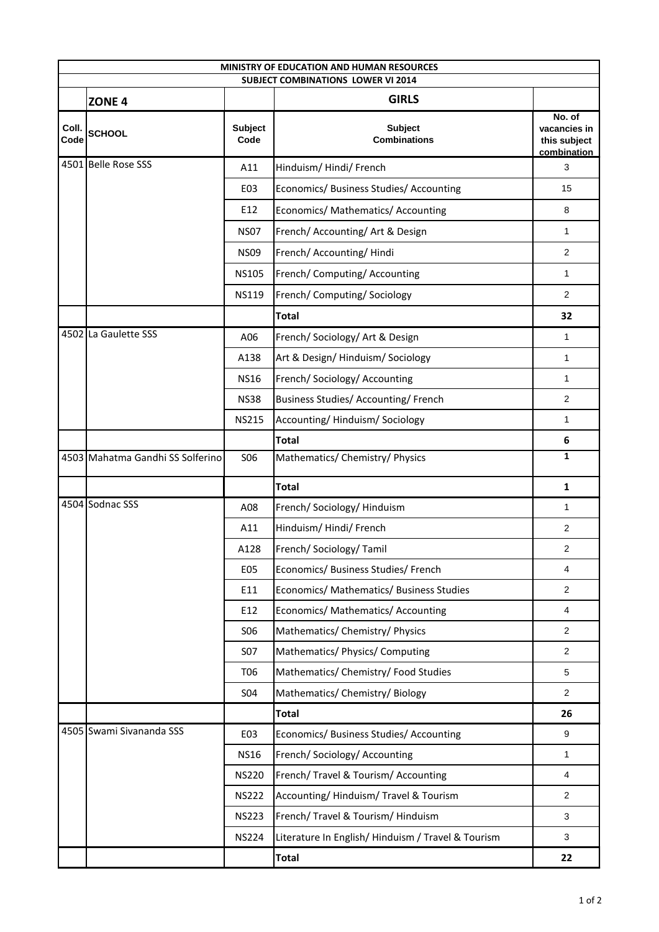|               |                                  |                        | MINISTRY OF EDUCATION AND HUMAN RESOURCES<br><b>SUBJECT COMBINATIONS LOWER VI 2014</b> |                                                       |
|---------------|----------------------------------|------------------------|----------------------------------------------------------------------------------------|-------------------------------------------------------|
|               | ZONE <sub>4</sub>                |                        | <b>GIRLS</b>                                                                           |                                                       |
| Coll.<br>Code | <b>SCHOOL</b>                    | <b>Subject</b><br>Code | <b>Subject</b><br><b>Combinations</b>                                                  | No. of<br>vacancies in<br>this subject<br>combination |
|               | 4501 Belle Rose SSS              | A11                    | Hinduism/Hindi/French                                                                  | 3                                                     |
|               |                                  | E03                    | Economics/ Business Studies/ Accounting                                                | 15                                                    |
|               |                                  | E12                    | Economics/ Mathematics/ Accounting                                                     | 8                                                     |
|               |                                  | <b>NS07</b>            | French/ Accounting/ Art & Design                                                       | $\mathbf{1}$                                          |
|               |                                  | <b>NS09</b>            | French/ Accounting/ Hindi                                                              | 2                                                     |
|               |                                  | <b>NS105</b>           | French/ Computing/ Accounting                                                          | 1                                                     |
|               |                                  | <b>NS119</b>           | French/ Computing/ Sociology                                                           | $\overline{2}$                                        |
|               |                                  |                        | <b>Total</b>                                                                           | 32                                                    |
|               | 4502 La Gaulette SSS             | A06                    | French/ Sociology/ Art & Design                                                        | 1                                                     |
|               |                                  | A138                   | Art & Design/Hinduism/Sociology                                                        | 1                                                     |
|               |                                  | <b>NS16</b>            | French/Sociology/Accounting                                                            | 1                                                     |
|               |                                  | <b>NS38</b>            | Business Studies/ Accounting/ French                                                   | 2                                                     |
|               |                                  | <b>NS215</b>           | Accounting/Hinduism/Sociology                                                          | 1                                                     |
|               |                                  |                        | <b>Total</b>                                                                           | 6                                                     |
|               | 4503 Mahatma Gandhi SS Solferino | <b>SO6</b>             | Mathematics/ Chemistry/ Physics                                                        | 1                                                     |
|               |                                  |                        | <b>Total</b>                                                                           | 1                                                     |
|               | 4504 Sodnac SSS                  | A08                    | French/ Sociology/ Hinduism                                                            | 1                                                     |
|               |                                  | A11                    | Hinduism/Hindi/French                                                                  | $\overline{2}$                                        |
|               |                                  | A128                   | French/ Sociology/ Tamil                                                               | 2                                                     |
|               |                                  | <b>E05</b>             | Economics/ Business Studies/ French                                                    | 4                                                     |
|               |                                  | E11                    | Economics/ Mathematics/ Business Studies                                               | $\overline{2}$                                        |
|               |                                  | E12                    | Economics/ Mathematics/ Accounting                                                     | 4                                                     |
|               |                                  | <b>SO6</b>             | Mathematics/ Chemistry/ Physics                                                        | $\overline{2}$                                        |
|               |                                  | S07                    | Mathematics/ Physics/ Computing                                                        | $\overline{2}$                                        |
|               |                                  | T06                    | Mathematics/ Chemistry/ Food Studies                                                   | 5                                                     |
|               |                                  | <b>SO4</b>             | Mathematics/ Chemistry/ Biology                                                        | $\overline{2}$                                        |
|               |                                  |                        | <b>Total</b>                                                                           | 26                                                    |
|               | 4505 Swami Sivananda SSS         | E03                    | Economics/ Business Studies/ Accounting                                                | 9                                                     |
|               |                                  | <b>NS16</b>            | French/Sociology/Accounting                                                            | 1                                                     |
|               |                                  | <b>NS220</b>           | French/ Travel & Tourism/ Accounting                                                   | 4                                                     |
|               |                                  | <b>NS222</b>           | Accounting/Hinduism/Travel & Tourism                                                   | $\overline{2}$                                        |
|               |                                  | <b>NS223</b>           | French/ Travel & Tourism/ Hinduism                                                     | 3                                                     |
|               |                                  | <b>NS224</b>           | Literature In English/Hinduism / Travel & Tourism                                      | 3                                                     |
|               |                                  |                        | <b>Total</b>                                                                           | 22                                                    |